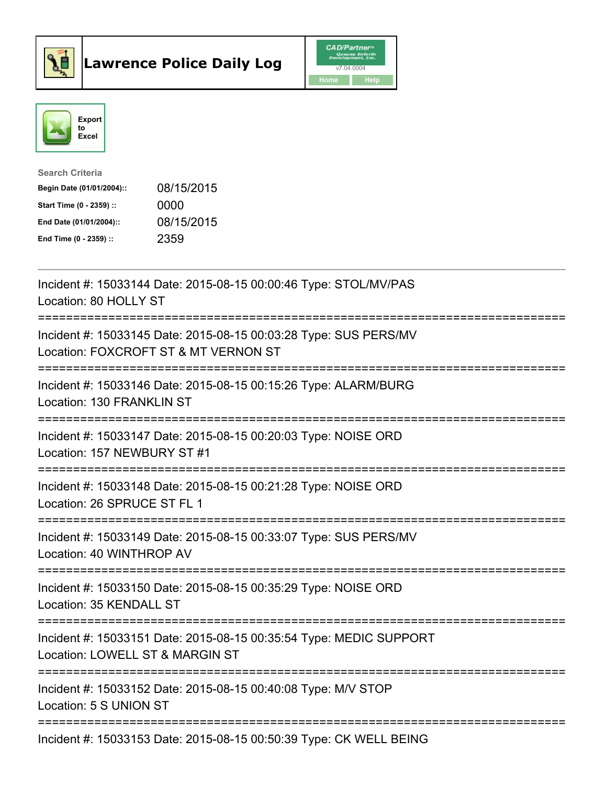



| <b>Search Criteria</b>    |            |
|---------------------------|------------|
| Begin Date (01/01/2004):: | 08/15/2015 |
| Start Time (0 - 2359) ::  | 0000       |
| End Date (01/01/2004)::   | 08/15/2015 |
| End Time (0 - 2359) ::    | 2359       |

| Incident #: 15033144 Date: 2015-08-15 00:00:46 Type: STOL/MV/PAS<br>Location: 80 HOLLY ST                                           |
|-------------------------------------------------------------------------------------------------------------------------------------|
| Incident #: 15033145 Date: 2015-08-15 00:03:28 Type: SUS PERS/MV<br>Location: FOXCROFT ST & MT VERNON ST                            |
| Incident #: 15033146 Date: 2015-08-15 00:15:26 Type: ALARM/BURG<br>Location: 130 FRANKLIN ST                                        |
| Incident #: 15033147 Date: 2015-08-15 00:20:03 Type: NOISE ORD<br>Location: 157 NEWBURY ST #1<br>----------------                   |
| Incident #: 15033148 Date: 2015-08-15 00:21:28 Type: NOISE ORD<br>Location: 26 SPRUCE ST FL 1<br>---------------------------------- |
| Incident #: 15033149 Date: 2015-08-15 00:33:07 Type: SUS PERS/MV<br>Location: 40 WINTHROP AV                                        |
| ==============<br>Incident #: 15033150 Date: 2015-08-15 00:35:29 Type: NOISE ORD<br>Location: 35 KENDALL ST<br>----------------     |
| Incident #: 15033151 Date: 2015-08-15 00:35:54 Type: MEDIC SUPPORT<br>Location: LOWELL ST & MARGIN ST                               |
| Incident #: 15033152 Date: 2015-08-15 00:40:08 Type: M/V STOP<br>Location: 5 S UNION ST                                             |
| Incident #: 15033153 Date: 2015-08-15 00:50:39 Type: CK WELL BEING                                                                  |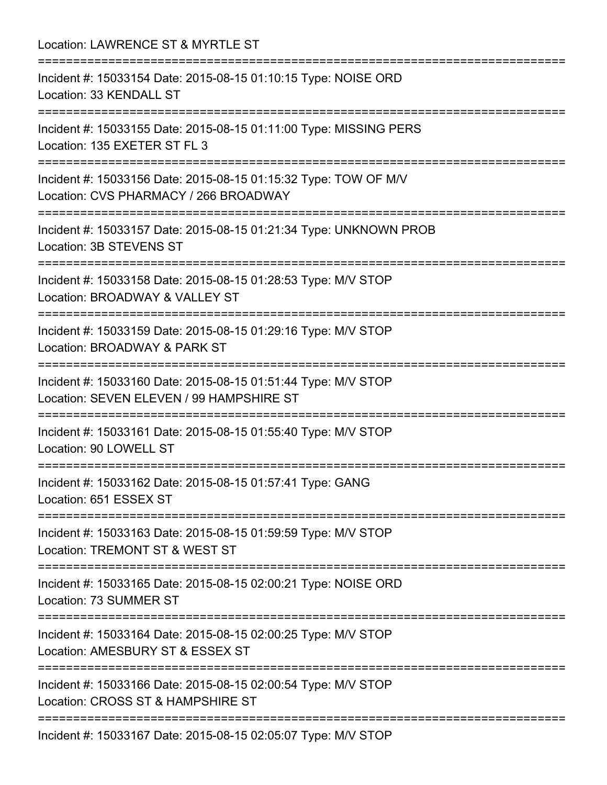Location: LAWRENCE ST & MYRTLE ST =========================================================================== Incident #: 15033154 Date: 2015-08-15 01:10:15 Type: NOISE ORD Location: 33 KENDALL ST =========================================================================== Incident #: 15033155 Date: 2015-08-15 01:11:00 Type: MISSING PERS Location: 135 EXETER ST FL 3 =========================================================================== Incident #: 15033156 Date: 2015-08-15 01:15:32 Type: TOW OF M/V Location: CVS PHARMACY / 266 BROADWAY =========================================================================== Incident #: 15033157 Date: 2015-08-15 01:21:34 Type: UNKNOWN PROB Location: 3B STEVENS ST =========================================================================== Incident #: 15033158 Date: 2015-08-15 01:28:53 Type: M/V STOP Location: BROADWAY & VALLEY ST =========================================================================== Incident #: 15033159 Date: 2015-08-15 01:29:16 Type: M/V STOP Location: BROADWAY & PARK ST =========================================================================== Incident #: 15033160 Date: 2015-08-15 01:51:44 Type: M/V STOP Location: SEVEN ELEVEN / 99 HAMPSHIRE ST =========================================================================== Incident #: 15033161 Date: 2015-08-15 01:55:40 Type: M/V STOP Location: 90 LOWELL ST =========================================================================== Incident #: 15033162 Date: 2015-08-15 01:57:41 Type: GANG Location: 651 ESSEX ST =========================================================================== Incident #: 15033163 Date: 2015-08-15 01:59:59 Type: M/V STOP Location: TREMONT ST & WEST ST =========================================================================== Incident #: 15033165 Date: 2015-08-15 02:00:21 Type: NOISE ORD Location: 73 SUMMER ST =========================================================================== Incident #: 15033164 Date: 2015-08-15 02:00:25 Type: M/V STOP Location: AMESBURY ST & ESSEX ST =========================================================================== Incident #: 15033166 Date: 2015-08-15 02:00:54 Type: M/V STOP Location: CROSS ST & HAMPSHIRE ST =========================================================================== Incident #: 15033167 Date: 2015-08-15 02:05:07 Type: M/V STOP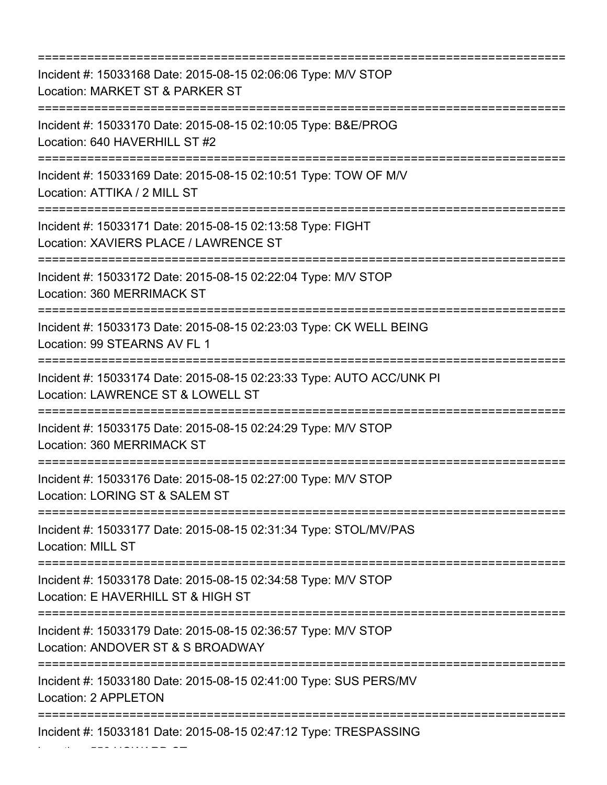=========================================================================== Incident #: 15033168 Date: 2015-08-15 02:06:06 Type: M/V STOP Location: MARKET ST & PARKER ST =========================================================================== Incident #: 15033170 Date: 2015-08-15 02:10:05 Type: B&E/PROG Location: 640 HAVERHILL ST #2 =========================================================================== Incident #: 15033169 Date: 2015-08-15 02:10:51 Type: TOW OF M/V Location: ATTIKA / 2 MILL ST =========================================================================== Incident #: 15033171 Date: 2015-08-15 02:13:58 Type: FIGHT Location: XAVIERS PLACE / LAWRENCE ST =========================================================================== Incident #: 15033172 Date: 2015-08-15 02:22:04 Type: M/V STOP Location: 360 MERRIMACK ST =========================================================================== Incident #: 15033173 Date: 2015-08-15 02:23:03 Type: CK WELL BEING Location: 99 STEARNS AV FL 1 =========================================================================== Incident #: 15033174 Date: 2015-08-15 02:23:33 Type: AUTO ACC/UNK PI Location: LAWRENCE ST & LOWELL ST =========================================================================== Incident #: 15033175 Date: 2015-08-15 02:24:29 Type: M/V STOP Location: 360 MERRIMACK ST =========================================================================== Incident #: 15033176 Date: 2015-08-15 02:27:00 Type: M/V STOP Location: LORING ST & SALEM ST =========================================================================== Incident #: 15033177 Date: 2015-08-15 02:31:34 Type: STOL/MV/PAS Location: MILL ST =========================================================================== Incident #: 15033178 Date: 2015-08-15 02:34:58 Type: M/V STOP Location: E HAVERHILL ST & HIGH ST =========================================================================== Incident #: 15033179 Date: 2015-08-15 02:36:57 Type: M/V STOP Location: ANDOVER ST & S BROADWAY =========================================================================== Incident #: 15033180 Date: 2015-08-15 02:41:00 Type: SUS PERS/MV Location: 2 APPLETON =========================================================================== Incident #: 15033181 Date: 2015-08-15 02:47:12 Type: TRESPASSING

Location: 556 HOWARD ST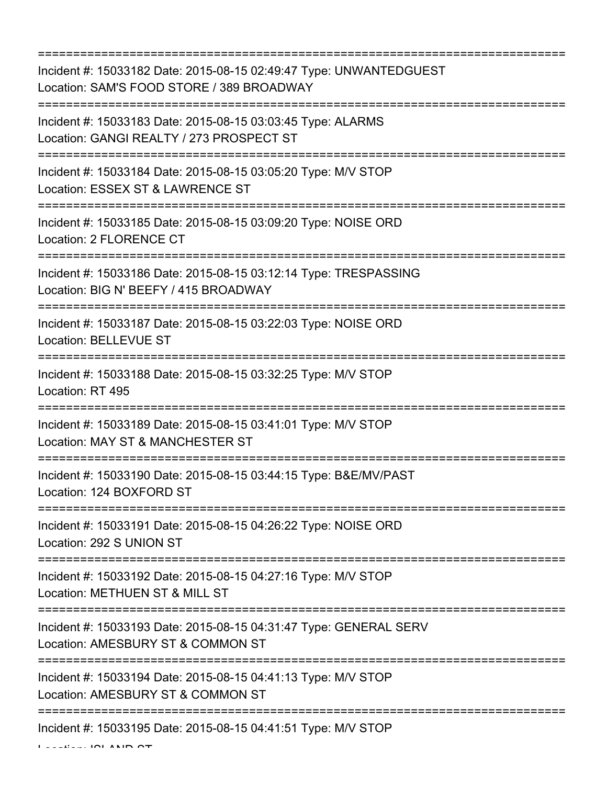=========================================================================== Incident #: 15033182 Date: 2015-08-15 02:49:47 Type: UNWANTEDGUEST Location: SAM'S FOOD STORE / 389 BROADWAY =========================================================================== Incident #: 15033183 Date: 2015-08-15 03:03:45 Type: ALARMS Location: GANGI REALTY / 273 PROSPECT ST =========================================================================== Incident #: 15033184 Date: 2015-08-15 03:05:20 Type: M/V STOP Location: ESSEX ST & LAWRENCE ST =========================================================================== Incident #: 15033185 Date: 2015-08-15 03:09:20 Type: NOISE ORD Location: 2 FLORENCE CT =========================================================================== Incident #: 15033186 Date: 2015-08-15 03:12:14 Type: TRESPASSING Location: BIG N' BEEFY / 415 BROADWAY =========================================================================== Incident #: 15033187 Date: 2015-08-15 03:22:03 Type: NOISE ORD Location: BELLEVUE ST =========================================================================== Incident #: 15033188 Date: 2015-08-15 03:32:25 Type: M/V STOP Location: RT 495 =========================================================================== Incident #: 15033189 Date: 2015-08-15 03:41:01 Type: M/V STOP Location: MAY ST & MANCHESTER ST =========================================================================== Incident #: 15033190 Date: 2015-08-15 03:44:15 Type: B&E/MV/PAST Location: 124 BOXFORD ST =========================================================================== Incident #: 15033191 Date: 2015-08-15 04:26:22 Type: NOISE ORD Location: 292 S UNION ST =========================================================================== Incident #: 15033192 Date: 2015-08-15 04:27:16 Type: M/V STOP Location: METHUEN ST & MILL ST =========================================================================== Incident #: 15033193 Date: 2015-08-15 04:31:47 Type: GENERAL SERV Location: AMESBURY ST & COMMON ST =========================================================================== Incident #: 15033194 Date: 2015-08-15 04:41:13 Type: M/V STOP Location: AMESBURY ST & COMMON ST =========================================================================== Incident #: 15033195 Date: 2015-08-15 04:41:51 Type: M/V STOP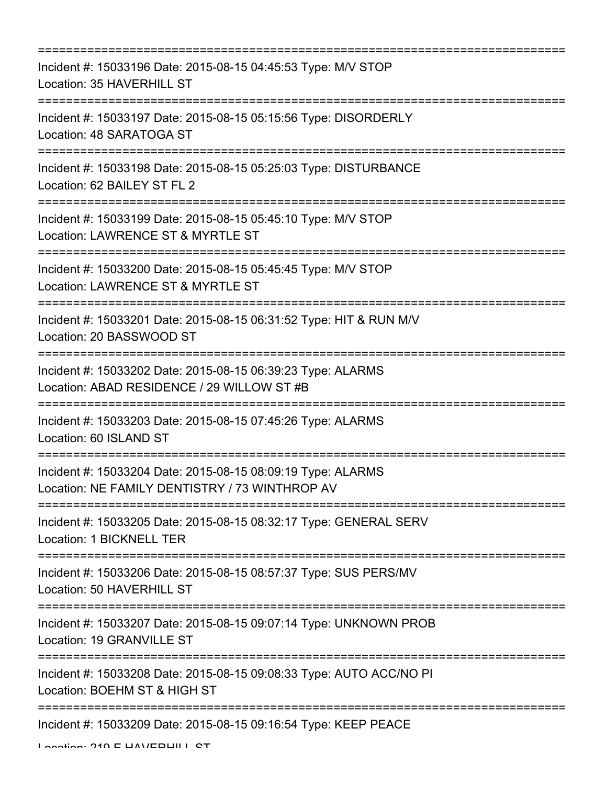| ;==========================                                                                                                                            |
|--------------------------------------------------------------------------------------------------------------------------------------------------------|
| Incident #: 15033196 Date: 2015-08-15 04:45:53 Type: M/V STOP<br>Location: 35 HAVERHILL ST<br>:==================                                      |
| Incident #: 15033197 Date: 2015-08-15 05:15:56 Type: DISORDERLY<br>Location: 48 SARATOGA ST                                                            |
| Incident #: 15033198 Date: 2015-08-15 05:25:03 Type: DISTURBANCE<br>Location: 62 BAILEY ST FL 2                                                        |
| Incident #: 15033199 Date: 2015-08-15 05:45:10 Type: M/V STOP<br>Location: LAWRENCE ST & MYRTLE ST                                                     |
| Incident #: 15033200 Date: 2015-08-15 05:45:45 Type: M/V STOP<br>Location: LAWRENCE ST & MYRTLE ST                                                     |
| Incident #: 15033201 Date: 2015-08-15 06:31:52 Type: HIT & RUN M/V<br>Location: 20 BASSWOOD ST                                                         |
| Incident #: 15033202 Date: 2015-08-15 06:39:23 Type: ALARMS<br>Location: ABAD RESIDENCE / 29 WILLOW ST #B<br>=================<br>==================== |
| Incident #: 15033203 Date: 2015-08-15 07:45:26 Type: ALARMS<br>Location: 60 ISLAND ST                                                                  |
| Incident #: 15033204 Date: 2015-08-15 08:09:19 Type: ALARMS<br>Location: NE FAMILY DENTISTRY / 73 WINTHROP AV                                          |
| Incident #: 15033205 Date: 2015-08-15 08:32:17 Type: GENERAL SERV<br>Location: 1 BICKNELL TER                                                          |
| Incident #: 15033206 Date: 2015-08-15 08:57:37 Type: SUS PERS/MV<br>Location: 50 HAVERHILL ST                                                          |
| Incident #: 15033207 Date: 2015-08-15 09:07:14 Type: UNKNOWN PROB<br>Location: 19 GRANVILLE ST                                                         |
| Incident #: 15033208 Date: 2015-08-15 09:08:33 Type: AUTO ACC/NO PI<br>Location: BOEHM ST & HIGH ST                                                    |
| ===========================<br>Incident #: 15033209 Date: 2015-08-15 09:16:54 Type: KEEP PEACE                                                         |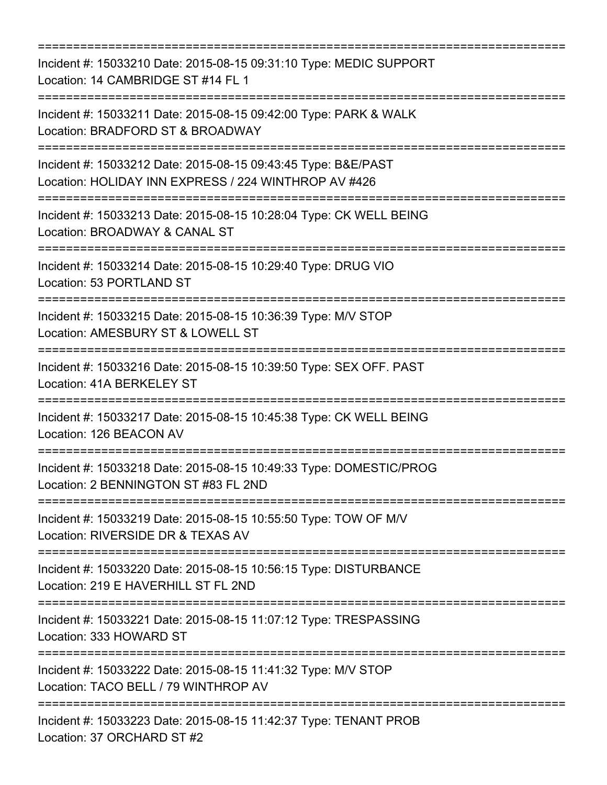=========================================================================== Incident #: 15033210 Date: 2015-08-15 09:31:10 Type: MEDIC SUPPORT Location: 14 CAMBRIDGE ST #14 FL 1 =========================================================================== Incident #: 15033211 Date: 2015-08-15 09:42:00 Type: PARK & WALK Location: BRADFORD ST & BROADWAY =========================================================================== Incident #: 15033212 Date: 2015-08-15 09:43:45 Type: B&E/PAST Location: HOLIDAY INN EXPRESS / 224 WINTHROP AV #426 =========================================================================== Incident #: 15033213 Date: 2015-08-15 10:28:04 Type: CK WELL BEING Location: BROADWAY & CANAL ST =========================================================================== Incident #: 15033214 Date: 2015-08-15 10:29:40 Type: DRUG VIO Location: 53 PORTLAND ST =========================================================================== Incident #: 15033215 Date: 2015-08-15 10:36:39 Type: M/V STOP Location: AMESBURY ST & LOWELL ST =========================================================================== Incident #: 15033216 Date: 2015-08-15 10:39:50 Type: SEX OFF. PAST Location: 41A BERKELEY ST =========================================================================== Incident #: 15033217 Date: 2015-08-15 10:45:38 Type: CK WELL BEING Location: 126 BEACON AV =========================================================================== Incident #: 15033218 Date: 2015-08-15 10:49:33 Type: DOMESTIC/PROG Location: 2 BENNINGTON ST #83 FL 2ND =========================================================================== Incident #: 15033219 Date: 2015-08-15 10:55:50 Type: TOW OF M/V Location: RIVERSIDE DR & TEXAS AV =========================================================================== Incident #: 15033220 Date: 2015-08-15 10:56:15 Type: DISTURBANCE Location: 219 E HAVERHILL ST FL 2ND =========================================================================== Incident #: 15033221 Date: 2015-08-15 11:07:12 Type: TRESPASSING Location: 333 HOWARD ST =========================================================================== Incident #: 15033222 Date: 2015-08-15 11:41:32 Type: M/V STOP Location: TACO BELL / 79 WINTHROP AV =========================================================================== Incident #: 15033223 Date: 2015-08-15 11:42:37 Type: TENANT PROB Location: 37 ORCHARD ST #2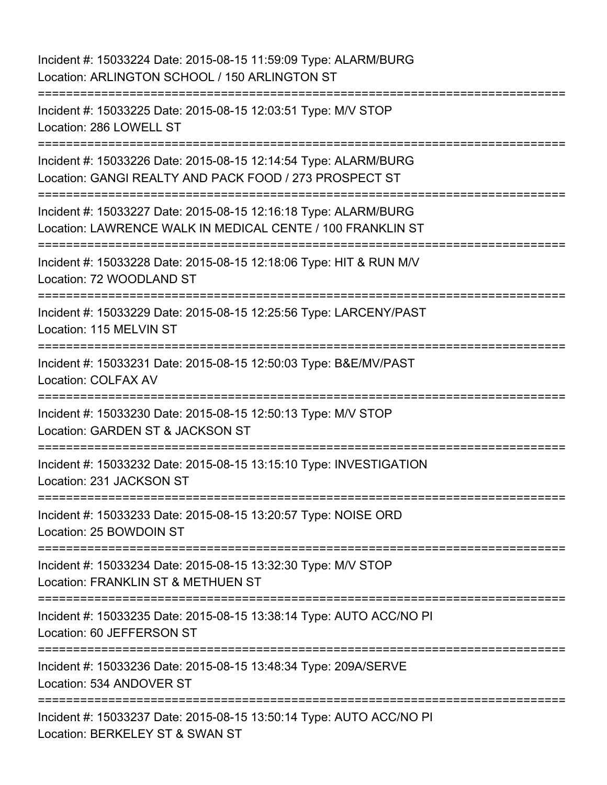Incident #: 15033224 Date: 2015-08-15 11:59:09 Type: ALARM/BURG Location: ARLINGTON SCHOOL / 150 ARLINGTON ST =========================================================================== Incident #: 15033225 Date: 2015-08-15 12:03:51 Type: M/V STOP Location: 286 LOWELL ST =========================================================================== Incident #: 15033226 Date: 2015-08-15 12:14:54 Type: ALARM/BURG Location: GANGI REALTY AND PACK FOOD / 273 PROSPECT ST =========================================================================== Incident #: 15033227 Date: 2015-08-15 12:16:18 Type: ALARM/BURG Location: LAWRENCE WALK IN MEDICAL CENTE / 100 FRANKLIN ST =========================================================================== Incident #: 15033228 Date: 2015-08-15 12:18:06 Type: HIT & RUN M/V Location: 72 WOODLAND ST =========================================================================== Incident #: 15033229 Date: 2015-08-15 12:25:56 Type: LARCENY/PAST Location: 115 MELVIN ST =========================================================================== Incident #: 15033231 Date: 2015-08-15 12:50:03 Type: B&E/MV/PAST Location: COLFAX AV =========================================================================== Incident #: 15033230 Date: 2015-08-15 12:50:13 Type: M/V STOP Location: GARDEN ST & JACKSON ST =========================================================================== Incident #: 15033232 Date: 2015-08-15 13:15:10 Type: INVESTIGATION Location: 231 JACKSON ST =========================================================================== Incident #: 15033233 Date: 2015-08-15 13:20:57 Type: NOISE ORD Location: 25 BOWDOIN ST =========================================================================== Incident #: 15033234 Date: 2015-08-15 13:32:30 Type: M/V STOP Location: FRANKLIN ST & METHUEN ST =========================================================================== Incident #: 15033235 Date: 2015-08-15 13:38:14 Type: AUTO ACC/NO PI Location: 60 JEFFERSON ST =========================================================================== Incident #: 15033236 Date: 2015-08-15 13:48:34 Type: 209A/SERVE Location: 534 ANDOVER ST ============================ Incident #: 15033237 Date: 2015-08-15 13:50:14 Type: AUTO ACC/NO PI Location: BERKELEY ST & SWAN ST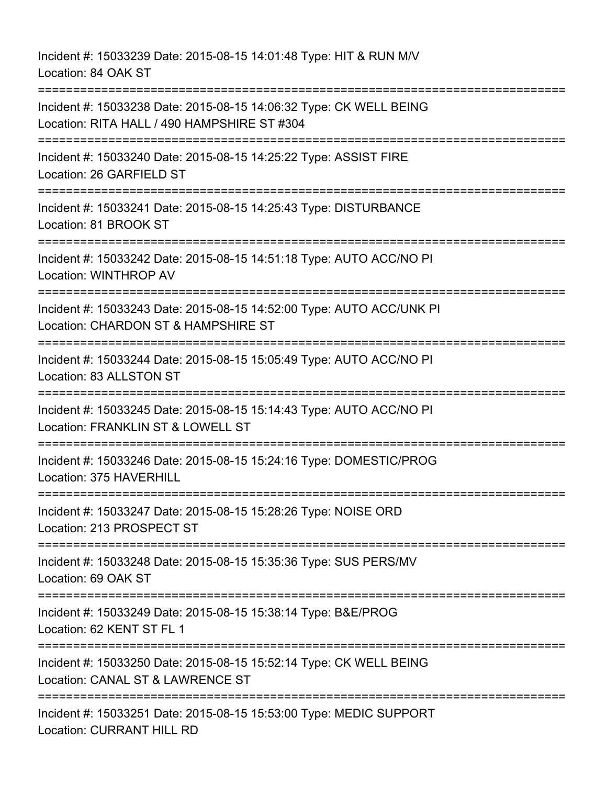Incident #: 15033239 Date: 2015-08-15 14:01:48 Type: HIT & RUN M/V Location: 84 OAK ST =========================================================================== Incident #: 15033238 Date: 2015-08-15 14:06:32 Type: CK WELL BEING Location: RITA HALL / 490 HAMPSHIRE ST #304 =========================================================================== Incident #: 15033240 Date: 2015-08-15 14:25:22 Type: ASSIST FIRE Location: 26 GARFIELD ST =========================================================================== Incident #: 15033241 Date: 2015-08-15 14:25:43 Type: DISTURBANCE Location: 81 BROOK ST =========================================================================== Incident #: 15033242 Date: 2015-08-15 14:51:18 Type: AUTO ACC/NO PI Location: WINTHROP AV =========================================================================== Incident #: 15033243 Date: 2015-08-15 14:52:00 Type: AUTO ACC/UNK PI Location: CHARDON ST & HAMPSHIRE ST =========================================================================== Incident #: 15033244 Date: 2015-08-15 15:05:49 Type: AUTO ACC/NO PI Location: 83 ALLSTON ST =========================================================================== Incident #: 15033245 Date: 2015-08-15 15:14:43 Type: AUTO ACC/NO PI Location: FRANKLIN ST & LOWELL ST ============================= Incident #: 15033246 Date: 2015-08-15 15:24:16 Type: DOMESTIC/PROG Location: 375 HAVERHILL =========================================================================== Incident #: 15033247 Date: 2015-08-15 15:28:26 Type: NOISE ORD Location: 213 PROSPECT ST =========================================================================== Incident #: 15033248 Date: 2015-08-15 15:35:36 Type: SUS PERS/MV Location: 69 OAK ST =========================================================================== Incident #: 15033249 Date: 2015-08-15 15:38:14 Type: B&E/PROG Location: 62 KENT ST FL 1 =========================================================================== Incident #: 15033250 Date: 2015-08-15 15:52:14 Type: CK WELL BEING Location: CANAL ST & LAWRENCE ST =========================================================================== Incident #: 15033251 Date: 2015-08-15 15:53:00 Type: MEDIC SUPPORT Location: CURRANT HILL RD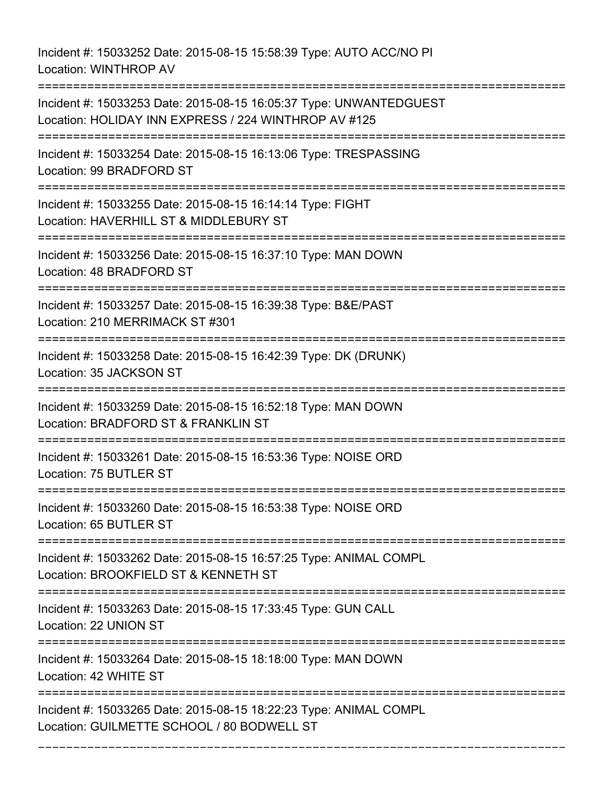Incident #: 15033252 Date: 2015-08-15 15:58:39 Type: AUTO ACC/NO PI Location: WINTHROP AV

=========================================================================== Incident #: 15033253 Date: 2015-08-15 16:05:37 Type: UNWANTEDGUEST Location: HOLIDAY INN EXPRESS / 224 WINTHROP AV #125 =========================================================================== Incident #: 15033254 Date: 2015-08-15 16:13:06 Type: TRESPASSING Location: 99 BRADFORD ST =========================================================================== Incident #: 15033255 Date: 2015-08-15 16:14:14 Type: FIGHT Location: HAVERHILL ST & MIDDLEBURY ST =========================================================================== Incident #: 15033256 Date: 2015-08-15 16:37:10 Type: MAN DOWN Location: 48 BRADFORD ST =========================================================================== Incident #: 15033257 Date: 2015-08-15 16:39:38 Type: B&E/PAST Location: 210 MERRIMACK ST #301 =========================================================================== Incident #: 15033258 Date: 2015-08-15 16:42:39 Type: DK (DRUNK) Location: 35 JACKSON ST =========================================================================== Incident #: 15033259 Date: 2015-08-15 16:52:18 Type: MAN DOWN Location: BRADFORD ST & FRANKLIN ST =========================================================================== Incident #: 15033261 Date: 2015-08-15 16:53:36 Type: NOISE ORD Location: 75 BUTLER ST =========================================================================== Incident #: 15033260 Date: 2015-08-15 16:53:38 Type: NOISE ORD Location: 65 BUTLER ST =========================================================================== Incident #: 15033262 Date: 2015-08-15 16:57:25 Type: ANIMAL COMPL Location: BROOKFIELD ST & KENNETH ST =========================================================================== Incident #: 15033263 Date: 2015-08-15 17:33:45 Type: GUN CALL Location: 22 UNION ST =========================================================================== Incident #: 15033264 Date: 2015-08-15 18:18:00 Type: MAN DOWN Location: 42 WHITE ST =========================================================================== Incident #: 15033265 Date: 2015-08-15 18:22:23 Type: ANIMAL COMPL Location: GUILMETTE SCHOOL / 80 BODWELL ST

===========================================================================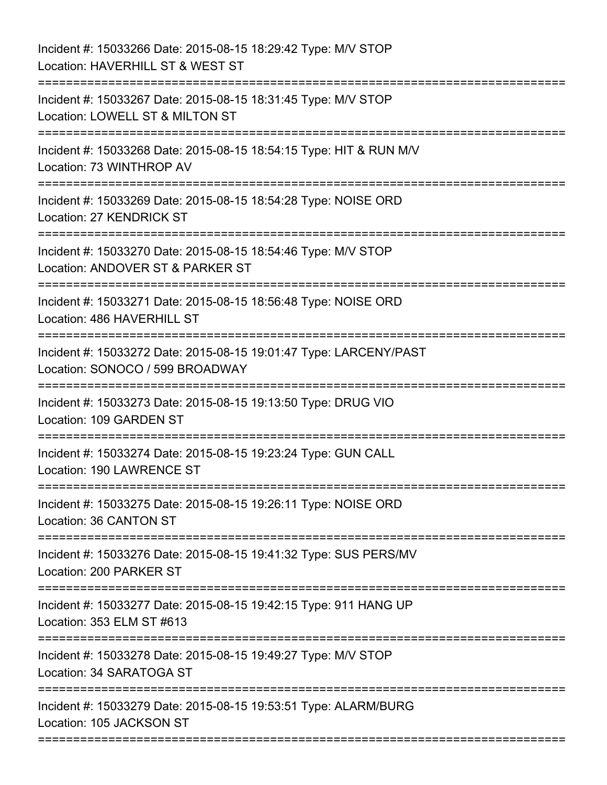| Incident #: 15033266 Date: 2015-08-15 18:29:42 Type: M/V STOP<br>Location: HAVERHILL ST & WEST ST                                                      |
|--------------------------------------------------------------------------------------------------------------------------------------------------------|
| Incident #: 15033267 Date: 2015-08-15 18:31:45 Type: M/V STOP<br>Location: LOWELL ST & MILTON ST<br>:==================<br>;========================== |
| Incident #: 15033268 Date: 2015-08-15 18:54:15 Type: HIT & RUN M/V<br>Location: 73 WINTHROP AV                                                         |
| Incident #: 15033269 Date: 2015-08-15 18:54:28 Type: NOISE ORD<br>Location: 27 KENDRICK ST                                                             |
| Incident #: 15033270 Date: 2015-08-15 18:54:46 Type: M/V STOP<br>Location: ANDOVER ST & PARKER ST                                                      |
| Incident #: 15033271 Date: 2015-08-15 18:56:48 Type: NOISE ORD<br>Location: 486 HAVERHILL ST                                                           |
| Incident #: 15033272 Date: 2015-08-15 19:01:47 Type: LARCENY/PAST<br>Location: SONOCO / 599 BROADWAY                                                   |
| Incident #: 15033273 Date: 2015-08-15 19:13:50 Type: DRUG VIO<br>Location: 109 GARDEN ST                                                               |
| Incident #: 15033274 Date: 2015-08-15 19:23:24 Type: GUN CALL<br><b>Location: 190 LAWRENCE ST</b>                                                      |
| Incident #: 15033275 Date: 2015-08-15 19:26:11 Type: NOISE ORD<br>Location: 36 CANTON ST                                                               |
| Incident #: 15033276 Date: 2015-08-15 19:41:32 Type: SUS PERS/MV<br>Location: 200 PARKER ST                                                            |
| Incident #: 15033277 Date: 2015-08-15 19:42:15 Type: 911 HANG UP<br>Location: 353 ELM ST #613                                                          |
| Incident #: 15033278 Date: 2015-08-15 19:49:27 Type: M/V STOP<br>Location: 34 SARATOGA ST                                                              |
| Incident #: 15033279 Date: 2015-08-15 19:53:51 Type: ALARM/BURG<br>Location: 105 JACKSON ST                                                            |
|                                                                                                                                                        |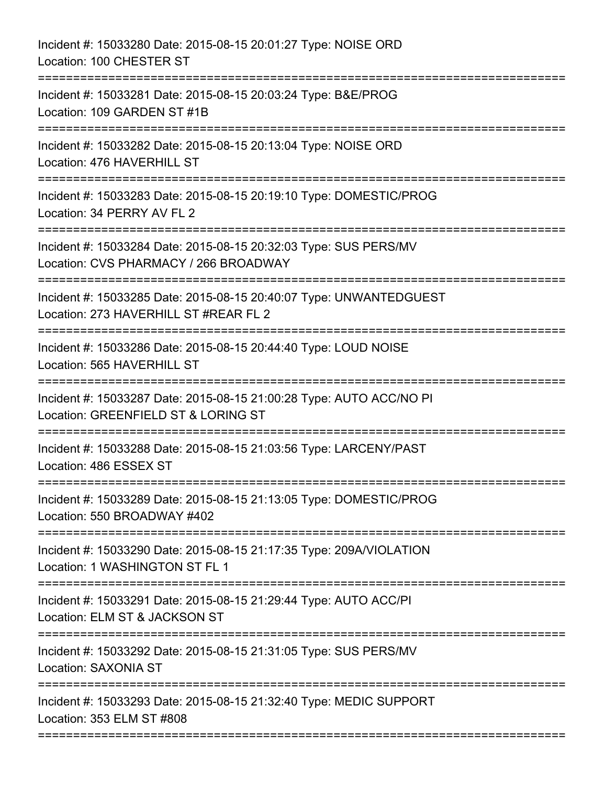| Incident #: 15033280 Date: 2015-08-15 20:01:27 Type: NOISE ORD<br>Location: 100 CHESTER ST                                                   |
|----------------------------------------------------------------------------------------------------------------------------------------------|
| Incident #: 15033281 Date: 2015-08-15 20:03:24 Type: B&E/PROG<br>Location: 109 GARDEN ST #1B<br>-----------------                            |
| Incident #: 15033282 Date: 2015-08-15 20:13:04 Type: NOISE ORD<br>Location: 476 HAVERHILL ST<br>====================                         |
| Incident #: 15033283 Date: 2015-08-15 20:19:10 Type: DOMESTIC/PROG<br>Location: 34 PERRY AV FL 2                                             |
| Incident #: 15033284 Date: 2015-08-15 20:32:03 Type: SUS PERS/MV<br>Location: CVS PHARMACY / 266 BROADWAY                                    |
| Incident #: 15033285 Date: 2015-08-15 20:40:07 Type: UNWANTEDGUEST<br>Location: 273 HAVERHILL ST #REAR FL 2                                  |
| Incident #: 15033286 Date: 2015-08-15 20:44:40 Type: LOUD NOISE<br>Location: 565 HAVERHILL ST<br>===================                         |
| Incident #: 15033287 Date: 2015-08-15 21:00:28 Type: AUTO ACC/NO PI<br>Location: GREENFIELD ST & LORING ST                                   |
| Incident #: 15033288 Date: 2015-08-15 21:03:56 Type: LARCENY/PAST<br>Location: 486 ESSEX ST                                                  |
| Incident #: 15033289 Date: 2015-08-15 21:13:05 Type: DOMESTIC/PROG<br>Location: 550 BROADWAY #402                                            |
| Incident #: 15033290 Date: 2015-08-15 21:17:35 Type: 209A/VIOLATION<br>Location: 1 WASHINGTON ST FL 1<br>=================================== |
| Incident #: 15033291 Date: 2015-08-15 21:29:44 Type: AUTO ACC/PI<br>Location: ELM ST & JACKSON ST                                            |
| Incident #: 15033292 Date: 2015-08-15 21:31:05 Type: SUS PERS/MV<br>Location: SAXONIA ST                                                     |
| Incident #: 15033293 Date: 2015-08-15 21:32:40 Type: MEDIC SUPPORT<br>Location: 353 ELM ST #808<br>:==========================               |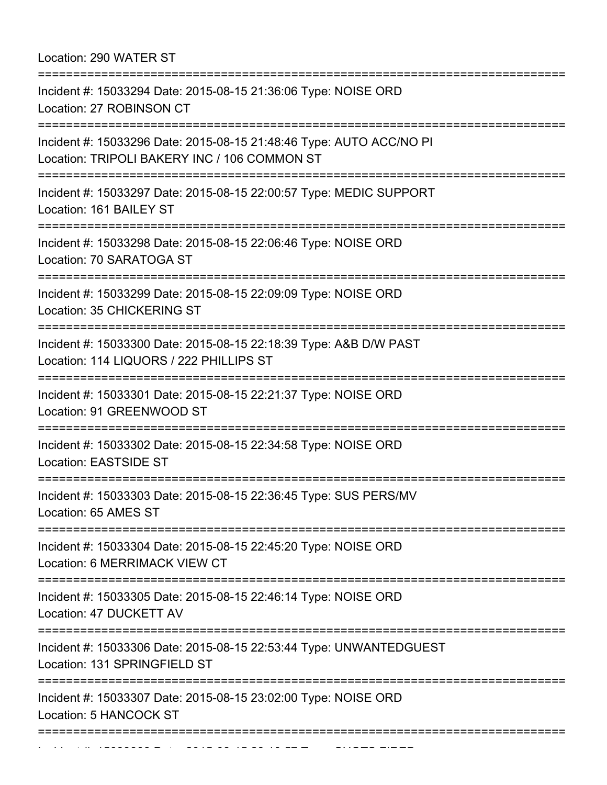## Location: 290 WATER ST

| Incident #: 15033294 Date: 2015-08-15 21:36:06 Type: NOISE ORD<br>Location: 27 ROBINSON CT<br>Incident #: 15033296 Date: 2015-08-15 21:48:46 Type: AUTO ACC/NO PI<br>Location: TRIPOLI BAKERY INC / 106 COMMON ST<br>Incident #: 15033297 Date: 2015-08-15 22:00:57 Type: MEDIC SUPPORT<br>Location: 161 BAILEY ST |  |
|--------------------------------------------------------------------------------------------------------------------------------------------------------------------------------------------------------------------------------------------------------------------------------------------------------------------|--|
|                                                                                                                                                                                                                                                                                                                    |  |
|                                                                                                                                                                                                                                                                                                                    |  |
|                                                                                                                                                                                                                                                                                                                    |  |
| Incident #: 15033298 Date: 2015-08-15 22:06:46 Type: NOISE ORD<br>Location: 70 SARATOGA ST                                                                                                                                                                                                                         |  |
| Incident #: 15033299 Date: 2015-08-15 22:09:09 Type: NOISE ORD<br>Location: 35 CHICKERING ST                                                                                                                                                                                                                       |  |
| Incident #: 15033300 Date: 2015-08-15 22:18:39 Type: A&B D/W PAST<br>Location: 114 LIQUORS / 222 PHILLIPS ST                                                                                                                                                                                                       |  |
| Incident #: 15033301 Date: 2015-08-15 22:21:37 Type: NOISE ORD<br>Location: 91 GREENWOOD ST                                                                                                                                                                                                                        |  |
| Incident #: 15033302 Date: 2015-08-15 22:34:58 Type: NOISE ORD<br><b>Location: EASTSIDE ST</b>                                                                                                                                                                                                                     |  |
| Incident #: 15033303 Date: 2015-08-15 22:36:45 Type: SUS PERS/MV<br>Location: 65 AMES ST                                                                                                                                                                                                                           |  |
| Incident #: 15033304 Date: 2015-08-15 22:45:20 Type: NOISE ORD<br>Location: 6 MERRIMACK VIEW CT                                                                                                                                                                                                                    |  |
| Incident #: 15033305 Date: 2015-08-15 22:46:14 Type: NOISE ORD<br>Location: 47 DUCKETT AV                                                                                                                                                                                                                          |  |
| Incident #: 15033306 Date: 2015-08-15 22:53:44 Type: UNWANTEDGUEST<br>Location: 131 SPRINGFIELD ST                                                                                                                                                                                                                 |  |
| Incident #: 15033307 Date: 2015-08-15 23:02:00 Type: NOISE ORD<br>Location: 5 HANCOCK ST<br>==================                                                                                                                                                                                                     |  |